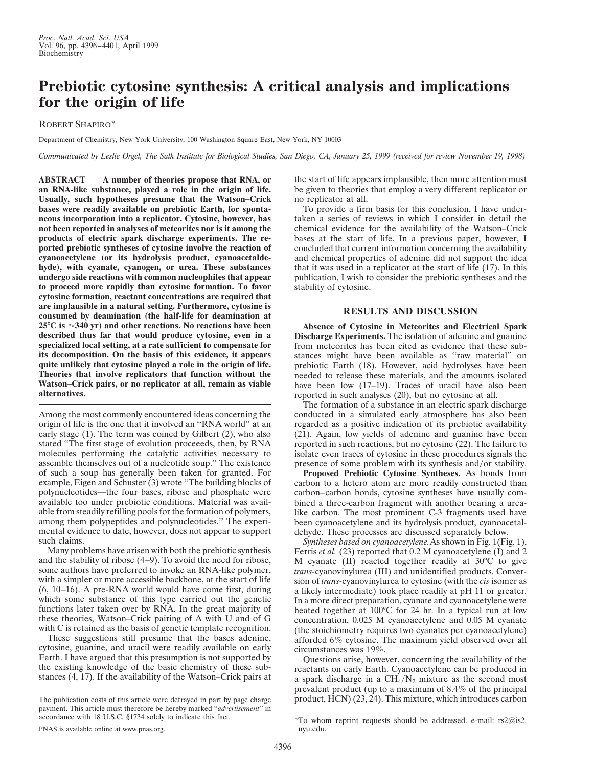## **Prebiotic cytosine synthesis: A critical analysis and implications for the origin of life**

ROBERT SHAPIRO\*

Department of Chemistry, New York University, 100 Washington Square East, New York, NY 10003

*Communicated by Leslie Orgel, The Salk Institute for Biological Studies, San Diego, CA, January 25, 1999 (received for review November 19, 1998)*

**ABSTRACT A number of theories propose that RNA, or an RNA-like substance, played a role in the origin of life. Usually, such hypotheses presume that the Watson–Crick bases were readily available on prebiotic Earth, for spontaneous incorporation into a replicator. Cytosine, however, has not been reported in analyses of meteorites nor is it among the products of electric spark discharge experiments. The reported prebiotic syntheses of cytosine involve the reaction of cyanoacetylene (or its hydrolysis product, cyanoacetaldehyde), with cyanate, cyanogen, or urea. These substances undergo side reactions with common nucleophiles that appear to proceed more rapidly than cytosine formation. To favor cytosine formation, reactant concentrations are required that are implausible in a natural setting. Furthermore, cytosine is consumed by deamination (the half-life for deamination at 25°C is** '**340 yr) and other reactions. No reactions have been described thus far that would produce cytosine, even in a specialized local setting, at a rate sufficient to compensate for its decomposition. On the basis of this evidence, it appears quite unlikely that cytosine played a role in the origin of life. Theories that involve replicators that function without the Watson–Crick pairs, or no replicator at all, remain as viable alternatives.**

Among the most commonly encountered ideas concerning the origin of life is the one that it involved an ''RNA world'' at an early stage (1). The term was coined by Gilbert (2), who also stated ''The first stage of evolution proceeeds, then, by RNA molecules performing the catalytic activities necessary to assemble themselves out of a nucleotide soup.'' The existence of such a soup has generally been taken for granted. For example, Eigen and Schuster (3) wrote ''The building blocks of polynucleotides—the four bases, ribose and phosphate were available too under prebiotic conditions. Material was available from steadily refilling pools for the formation of polymers, among them polypeptides and polynucleotides.'' The experimental evidence to date, however, does not appear to support such claims.

Many problems have arisen with both the prebiotic synthesis and the stability of ribose (4–9). To avoid the need for ribose, some authors have preferred to invoke an RNA-like polymer, with a simpler or more accessible backbone, at the start of life (6, 10–16). A pre-RNA world would have come first, during which some substance of this type carried out the genetic functions later taken over by RNA. In the great majority of these theories, Watson–Crick pairing of A with U and of G with C is retained as the basis of genetic template recognition.

These suggestions still presume that the bases adenine, cytosine, guanine, and uracil were readily available on early Earth. I have argued that this presumption is not supported by the existing knowledge of the basic chemistry of these substances (4, 17). If the availability of the Watson–Crick pairs at the start of life appears implausible, then more attention must be given to theories that employ a very different replicator or no replicator at all.

To provide a firm basis for this conclusion, I have undertaken a series of reviews in which I consider in detail the chemical evidence for the availability of the Watson–Crick bases at the start of life. In a previous paper, however, I concluded that current information concerning the availability and chemical properties of adenine did not support the idea that it was used in a replicator at the start of life (17). In this publication, I wish to consider the prebiotic syntheses and the stability of cytosine.

## **RESULTS AND DISCUSSION**

**Absence of Cytosine in Meteorites and Electrical Spark Discharge Experiments.** The isolation of adenine and guanine from meteorites has been cited as evidence that these substances might have been available as ''raw material'' on prebiotic Earth (18). However, acid hydrolyses have been needed to release these materials, and the amounts isolated have been low (17–19). Traces of uracil have also been reported in such analyses (20), but no cytosine at all.

The formation of a substance in an electric spark discharge conducted in a simulated early atmosphere has also been regarded as a positive indication of its prebiotic availability (21). Again, low yields of adenine and guanine have been reported in such reactions, but no cytosine (22). The failure to isolate even traces of cytosine in these procedures signals the presence of some problem with its synthesis and/or stability.

**Proposed Prebiotic Cytosine Syntheses.** As bonds from carbon to a hetero atom are more readily constructed than carbon–carbon bonds, cytosine syntheses have usually combined a three-carbon fragment with another bearing a urealike carbon. The most prominent C-3 fragments used have been cyanoacetylene and its hydrolysis product, cyanoacetaldehyde. These processes are discussed separately below.

*Syntheses based on cyanoacetylene.*As shown in Fig. 1(Fig. 1), Ferris *et al.* (23) reported that 0.2 M cyanoacetylene (I) and 2 M cyanate (II) reacted together readily at 30°C to give *trans-*cyanovinylurea (III) and unidentified products. Conversion of *trans-*cyanovinylurea to cytosine (with the *cis* isomer as a likely intermediate) took place readily at pH 11 or greater. In a more direct preparation, cyanate and cyanoacetylene were heated together at 100<sup>o</sup>C for 24 hr. In a typical run at low concentration, 0.025 M cyanoacetylene and 0.05 M cyanate (the stoichiometry requires two cyanates per cyanoacetylene) afforded 6% cytosine. The maximum yield observed over all circumstances was 19%.

Questions arise, however, concerning the availability of the reactants on early Earth. Cyanoacetylene can be produced in a spark discharge in a  $CH<sub>4</sub>/N<sub>2</sub>$  mixture as the second most prevalent product (up to a maximum of 8.4% of the principal The publication costs of this article were defrayed in part by page charge product,  $HCN$ )  $(23, 24)$ . This mixture, which introduces carbon

payment. This article must therefore be hereby marked ''*advertisement*'' in accordance with 18 U.S.C. §1734 solely to indicate this fact.

<sup>\*</sup>To whom reprint requests should be addressed. e-mail: rs2@is2. nyu.edu.

PNAS is available online at www.pnas.org.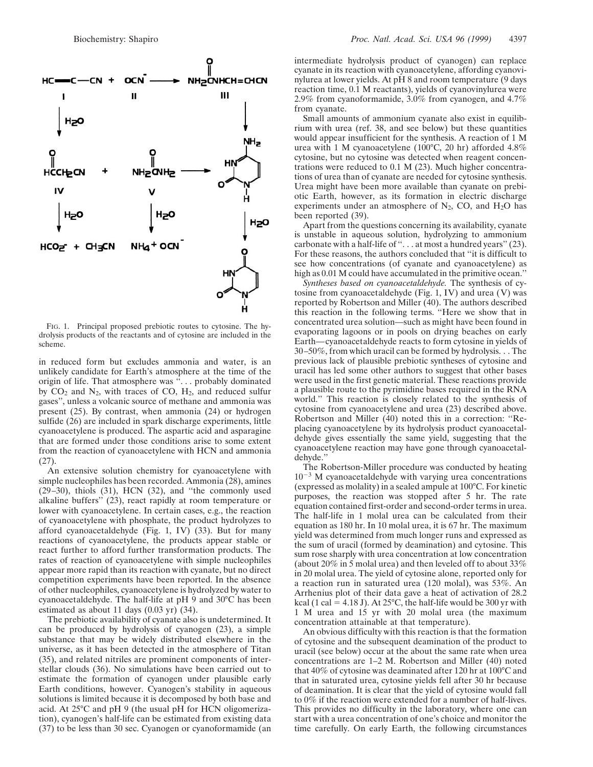

FIG. 1. Principal proposed prebiotic routes to cytosine. The hydrolysis products of the reactants and of cytosine are included in the scheme.

in reduced form but excludes ammonia and water, is an unlikely candidate for Earth's atmosphere at the time of the origin of life. That atmosphere was ''. . . probably dominated by  $CO_2$  and  $N_2$ , with traces of  $CO$ ,  $H_2$ , and reduced sulfur gases'', unless a volcanic source of methane and ammonia was present (25). By contrast, when ammonia (24) or hydrogen sulfide (26) are included in spark discharge experiments, little cyanoacetylene is produced. The aspartic acid and asparagine that are formed under those conditions arise to some extent from the reaction of cyanoacetylene with HCN and ammonia (27).

An extensive solution chemistry for cyanoacetylene with simple nucleophiles has been recorded. Ammonia (28), amines  $(29-30)$ , thiols  $(31)$ , HCN  $(32)$ , and "the commonly used alkaline buffers'' (23), react rapidly at room temperature or lower with cyanoacetylene. In certain cases, e.g., the reaction of cyanoacetylene with phosphate, the product hydrolyzes to afford cyanoacetaldehyde (Fig. 1, IV) (33). But for many reactions of cyanoacetylene, the products appear stable or react further to afford further transformation products. The rates of reaction of cyanoacetylene with simple nucleophiles appear more rapid than its reaction with cyanate, but no direct competition experiments have been reported. In the absence of other nucleophiles, cyanoacetylene is hydrolyzed by water to cyanoacetaldehyde. The half-life at pH 9 and 30°C has been estimated as about 11 days (0.03 yr) (34).

The prebiotic availability of cyanate also is undetermined. It can be produced by hydrolysis of cyanogen (23), a simple substance that may be widely distributed elsewhere in the universe, as it has been detected in the atmosphere of Titan (35), and related nitriles are prominent components of interstellar clouds (36). No simulations have been carried out to estimate the formation of cyanogen under plausible early Earth conditions, however. Cyanogen's stability in aqueous solutions is limited because it is decomposed by both base and acid. At 25°C and pH 9 (the usual pH for HCN oligomerization), cyanogen's half-life can be estimated from existing data (37) to be less than 30 sec. Cyanogen or cyanoformamide (an

intermediate hydrolysis product of cyanogen) can replace cyanate in its reaction with cyanoacetylene, affording cyanovinylurea at lower yields. At pH 8 and room temperature (9 days reaction time, 0.1 M reactants), yields of cyanovinylurea were 2.9% from cyanoformamide, 3.0% from cyanogen, and 4.7% from cyanate.

Small amounts of ammonium cyanate also exist in equilibrium with urea (ref. 38, and see below) but these quantities would appear insufficient for the synthesis. A reaction of 1 M urea with 1 M cyanoacetylene (100°C, 20 hr) afforded 4.8% cytosine, but no cytosine was detected when reagent concentrations were reduced to 0.1 M (23). Much higher concentrations of urea than of cyanate are needed for cytosine synthesis. Urea might have been more available than cyanate on prebiotic Earth, however, as its formation in electric discharge experiments under an atmosphere of  $N_2$ , CO, and  $H_2O$  has been reported (39).

Apart from the questions concerning its availability, cyanate is unstable in aqueous solution, hydrolyzing to ammonium carbonate with a half-life of "... at most a hundred years" (23). For these reasons, the authors concluded that ''it is difficult to see how concentrations (of cyanate and cyanoacetylene) as high as 0.01 M could have accumulated in the primitive ocean."

*Syntheses based on cyanoacetaldehyde.* The synthesis of cytosine from cyanoacetaldehyde (Fig. 1, IV) and urea (V) was reported by Robertson and Miller (40). The authors described this reaction in the following terms. ''Here we show that in concentrated urea solution—such as might have been found in evaporating lagoons or in pools on drying beaches on early Earth—cyanoacetaldehyde reacts to form cytosine in yields of 30–50%, from which uracil can be formed by hydrolysis. . . The previous lack of plausible prebiotic syntheses of cytosine and uracil has led some other authors to suggest that other bases were used in the first genetic material. These reactions provide a plausible route to the pyrimidine bases required in the RNA world.'' This reaction is closely related to the synthesis of cytosine from cyanoacetylene and urea (23) described above. Robertson and Miller (40) noted this in a correction: ''Replacing cyanoacetylene by its hydrolysis product cyanoacetaldehyde gives essentially the same yield, suggesting that the cyanoacetylene reaction may have gone through cyanoacetaldehyde.''

The Robertson-Miller procedure was conducted by heating  $10^{-3}$  M cyanoacetaldehyde with varying urea concentrations (expressed as molality) in a sealed ampule at 100°C. For kinetic purposes, the reaction was stopped after 5 hr. The rate equation contained first-order and second-order terms in urea. The half-life in 1 molal urea can be calculated from their equation as 180 hr. In 10 molal urea, it is 67 hr. The maximum yield was determined from much longer runs and expressed as the sum of uracil (formed by deamination) and cytosine. This sum rose sharply with urea concentration at low concentration (about 20% in 5 molal urea) and then leveled off to about 33% in 20 molal urea. The yield of cytosine alone, reported only for a reaction run in saturated urea (120 molal), was 53%. An Arrhenius plot of their data gave a heat of activation of 28.2 kcal (1 cal = 4.18 J). At 25 $^{\circ}$ C, the half-life would be 300 yr with 1 M urea and 15 yr with 20 molal urea (the maximum concentration attainable at that temperature).

An obvious difficulty with this reaction is that the formation of cytosine and the subsequent deamination of the product to uracil (see below) occur at the about the same rate when urea concentrations are 1–2 M. Robertson and Miller (40) noted that 40% of cytosine was deaminated after 120 hr at 100°C and that in saturated urea, cytosine yields fell after 30 hr because of deamination. It is clear that the yield of cytosine would fall to 0% if the reaction were extended for a number of half-lives. This provides no difficulty in the laboratory, where one can start with a urea concentration of one's choice and monitor the time carefully. On early Earth, the following circumstances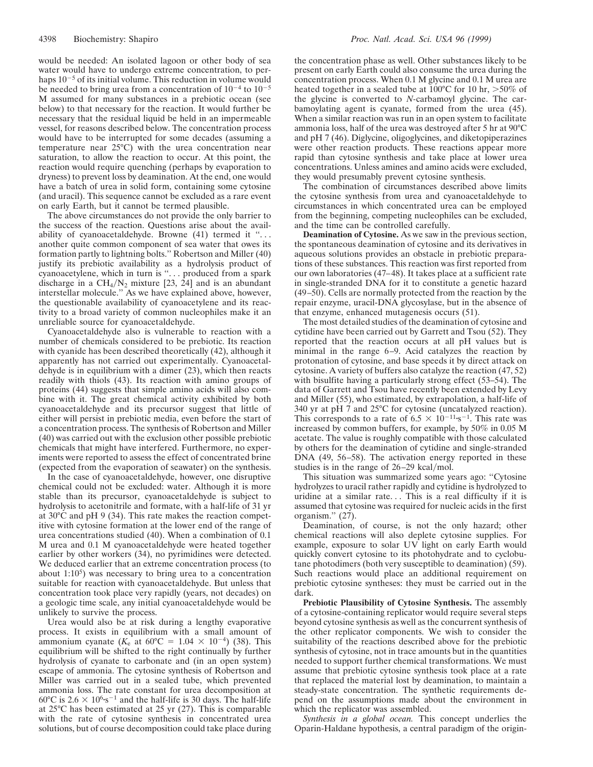would be needed: An isolated lagoon or other body of sea water would have to undergo extreme concentration, to perhaps  $10^{-5}$  of its initial volume. This reduction in volume would be needed to bring urea from a concentration of  $10^{-4}$  to  $10^{-5}$ M assumed for many substances in a prebiotic ocean (see below) to that necessary for the reaction. It would further be necessary that the residual liquid be held in an impermeable vessel, for reasons described below. The concentration process would have to be interrupted for some decades (assuming a temperature near 25°C) with the urea concentration near saturation, to allow the reaction to occur. At this point, the reaction would require quenching (perhaps by evaporation to dryness) to prevent loss by deamination. At the end, one would have a batch of urea in solid form, containing some cytosine (and uracil). This sequence cannot be excluded as a rare event on early Earth, but it cannot be termed plausible.

The above circumstances do not provide the only barrier to the success of the reaction. Questions arise about the availability of cyanoacetaldehyde. Browne (41) termed it "... another quite common component of sea water that owes its formation partly to lightning bolts.'' Robertson and Miller (40) justify its prebiotic availability as a hydrolysis product of cyanoacetylene, which in turn is ''. . . produced from a spark discharge in a  $CH_4/N_2$  mixture [23, 24] and is an abundant interstellar molecule.'' As we have explained above, however, the questionable availability of cyanoacetylene and its reactivity to a broad variety of common nucleophiles make it an unreliable source for cyanoacetaldehyde.

Cyanoacetaldehyde also is vulnerable to reaction with a number of chemicals considered to be prebiotic. Its reaction with cyanide has been described theoretically (42), although it apparently has not carried out experimentally. Cyanoacetaldehyde is in equilibrium with a dimer (23), which then reacts readily with thiols (43). Its reaction with amino groups of proteins (44) suggests that simple amino acids will also combine with it. The great chemical activity exhibited by both cyanoacetaldehyde and its precursor suggest that little of either will persist in prebiotic media, even before the start of a concentration process. The synthesis of Robertson and Miller (40) was carried out with the exclusion other possible prebiotic chemicals that might have interfered. Furthermore, no experiments were reported to assess the effect of concentrated brine (expected from the evaporation of seawater) on the synthesis.

In the case of cyanoacetaldehyde, however, one disruptive chemical could not be excluded: water. Although it is more stable than its precursor, cyanoacetaldehyde is subject to hydrolysis to acetonitrile and formate, with a half-life of 31 yr at 30°C and pH 9 (34). This rate makes the reaction competitive with cytosine formation at the lower end of the range of urea concentrations studied (40). When a combination of 0.1 M urea and 0.1 M cyanoacetaldehyde were heated together earlier by other workers (34), no pyrimidines were detected. We deduced earlier that an extreme concentration process (to about  $1:10<sup>5</sup>$ ) was necessary to bring urea to a concentration suitable for reaction with cyanoacetaldehyde. But unless that concentration took place very rapidly (years, not decades) on a geologic time scale, any initial cyanoacetaldehyde would be unlikely to survive the process.

Urea would also be at risk during a lengthy evaporative process. It exists in equilibrium with a small amount of ammonium cyanate ( $K_e$  at 60°C = 1.04  $\times$  10<sup>-4</sup>) (38). This equilibrium will be shifted to the right continually by further hydrolysis of cyanate to carbonate and (in an open system) escape of ammonia. The cytosine synthesis of Robertson and Miller was carried out in a sealed tube, which prevented ammonia loss. The rate constant for urea decomposition at 60°C is 2.6  $\times$  10<sup>6</sup>·s<sup>-1</sup> and the half-life is 30 days. The half-life at 25°C has been estimated at 25 yr (27). This is comparable with the rate of cytosine synthesis in concentrated urea solutions, but of course decomposition could take place during

the concentration phase as well. Other substances likely to be present on early Earth could also consume the urea during the concentration process. When 0.1 M glycine and 0.1 M urea are heated together in a sealed tube at  $100^{\circ}$ C for 10 hr,  $>50\%$  of the glycine is converted to *N-*carbamoyl glycine. The carbamoylating agent is cyanate, formed from the urea (45). When a similar reaction was run in an open system to facilitate ammonia loss, half of the urea was destroyed after 5 hr at 90°C and pH 7 (46). Diglycine, oligoglycines, and diketopiperazines were other reaction products. These reactions appear more rapid than cytosine synthesis and take place at lower urea concentrations. Unless amines and amino acids were excluded, they would presumably prevent cytosine synthesis.

The combination of circumstances described above limits the cytosine synthesis from urea and cyanoacetaldehyde to circumstances in which concentrated urea can be employed from the beginning, competing nucleophiles can be excluded, and the time can be controlled carefully.

**Deamination of Cytosine.** As we saw in the previous section, the spontaneous deamination of cytosine and its derivatives in aqueous solutions provides an obstacle in prebiotic preparations of these substances. This reaction was first reported from our own laboratories (47–48). It takes place at a sufficient rate in single-stranded DNA for it to constitute a genetic hazard (49–50). Cells are normally protected from the reaction by the repair enzyme, uracil-DNA glycosylase, but in the absence of that enzyme, enhanced mutagenesis occurs (51).

The most detailed studies of the deamination of cytosine and cytidine have been carried out by Garrett and Tsou (52). They reported that the reaction occurs at all pH values but is minimal in the range 6–9. Acid catalyzes the reaction by protonation of cytosine, and base speeds it by direct attack on cytosine. A variety of buffers also catalyze the reaction (47, 52) with bisulfite having a particularly strong effect (53–54). The data of Garrett and Tsou have recently been extended by Levy and Miller (55), who estimated, by extrapolation, a half-life of 340 yr at pH 7 and 25°C for cytosine (uncatalyzed reaction). This corresponds to a rate of  $6.5 \times 10^{-11}$ s<sup>-1</sup>. This rate was increased by common buffers, for example, by 50% in 0.05 M acetate. The value is roughly compatible with those calculated by others for the deamination of cytidine and single-stranded DNA (49, 56–58). The activation energy reported in these studies is in the range of  $26-29$  kcal/mol.

This situation was summarized some years ago: ''Cytosine hydrolyzes to uracil rather rapidly and cytidine is hydrolyzed to uridine at a similar rate... This is a real difficulty if it is assumed that cytosine was required for nucleic acids in the first organism.'' (27).

Deamination, of course, is not the only hazard; other chemical reactions will also deplete cytosine supplies. For example, exposure to solar UV light on early Earth would quickly convert cytosine to its photohydrate and to cyclobutane photodimers (both very susceptible to deamination) (59). Such reactions would place an additional requirement on prebiotic cytosine syntheses: they must be carried out in the dark.

**Prebiotic Plausibility of Cytosine Synthesis.** The assembly of a cytosine-containing replicator would require several steps beyond cytosine synthesis as well as the concurrent synthesis of the other replicator components. We wish to consider the suitability of the reactions described above for the prebiotic synthesis of cytosine, not in trace amounts but in the quantities needed to support further chemical transformations. We must assume that prebiotic cytosine synthesis took place at a rate that replaced the material lost by deamination, to maintain a steady-state concentration. The synthetic requirements depend on the assumptions made about the environment in which the replicator was assembled.

*Synthesis in a global ocean.* This concept underlies the Oparin-Haldane hypothesis, a central paradigm of the origin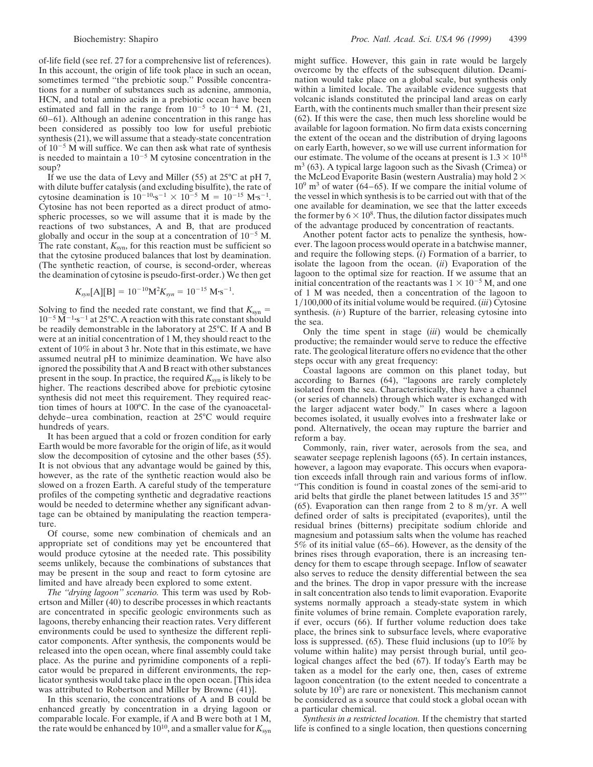of-life field (see ref. 27 for a comprehensive list of references). In this account, the origin of life took place in such an ocean, sometimes termed "the prebiotic soup." Possible concentrations for a number of substances such as adenine, ammonia, HCN, and total amino acids in a prebiotic ocean have been estimated and fall in the range from  $10^{-5}$  to  $10^{-4}$  M. (21, 60–61). Although an adenine concentration in this range has been considered as possibly too low for useful prebiotic synthesis (21), we will assume that a steady-state concentration of  $10^{-5}$  M will suffice. We can then ask what rate of synthesis is needed to maintain a  $10^{-5}$  M cytosine concentration in the soup?

If we use the data of Levy and Miller (55) at 25°C at pH 7, with dilute buffer catalysis (and excluding bisulfite), the rate of cytosine deamination is  $10^{-10}$ ·s<sup>-1</sup> ×  $10^{-5}$  M =  $10^{-15}$  M·s<sup>-1</sup>. Cytosine has not been reported as a direct product of atmospheric processes, so we will assume that it is made by the reactions of two substances, A and B, that are produced globally and occur in the soup at a concentration of  $10^{-5}$  M. The rate constant,  $K_{syn}$ , for this reaction must be sufficient so that the cytosine produced balances that lost by deamination. (The synthetic reaction, of course, is second-order, whereas the deamination of cytosine is pseudo-first-order.) We then get

$$
K_{syn}[A][B] = 10^{-10} M^2 K_{syn} = 10^{-15} M·s^{-1}.
$$

Solving to find the needed rate constant, we find that  $K_{syn}$  =  $10^{-5}$  M<sup> $-1$ </sup>s<sup>-1</sup> at 25°C. A reaction with this rate constant should be readily demonstrable in the laboratory at 25°C. If A and B were at an initial concentration of 1 M, they should react to the extent of 10% in about 3 hr. Note that in this estimate, we have assumed neutral pH to minimize deamination. We have also ignored the possibility that A and B react with other substances present in the soup. In practice, the required  $K_{syn}$  is likely to be higher. The reactions described above for prebiotic cytosine synthesis did not meet this requirement. They required reaction times of hours at 100°C. In the case of the cyanoacetaldehyde–urea combination, reaction at 25°C would require hundreds of years.

It has been argued that a cold or frozen condition for early Earth would be more favorable for the origin of life, as it would slow the decomposition of cytosine and the other bases (55). It is not obvious that any advantage would be gained by this, however, as the rate of the synthetic reaction would also be slowed on a frozen Earth. A careful study of the temperature profiles of the competing synthetic and degradative reactions would be needed to determine whether any significant advantage can be obtained by manipulating the reaction temperature.

Of course, some new combination of chemicals and an appropriate set of conditions may yet be encountered that would produce cytosine at the needed rate. This possibility seems unlikely, because the combinations of substances that may be present in the soup and react to form cytosine are limited and have already been explored to some extent.

*The ''drying lagoon'' scenario.* This term was used by Robertson and Miller (40) to describe processes in which reactants are concentrated in specific geologic environments such as lagoons, thereby enhancing their reaction rates. Very different environments could be used to synthesize the different replicator components. After synthesis, the components would be released into the open ocean, where final assembly could take place. As the purine and pyrimidine components of a replicator would be prepared in different environments, the replicator synthesis would take place in the open ocean. [This idea was attributed to Robertson and Miller by Browne (41)].

In this scenario, the concentrations of A and B could be enhanced greatly by concentration in a drying lagoon or comparable locale. For example, if A and B were both at 1 M, the rate would be enhanced by  $10^{10}$ , and a smaller value for  $K_{syn}$ 

might suffice. However, this gain in rate would be largely overcome by the effects of the subsequent dilution. Deamination would take place on a global scale, but synthesis only within a limited locale. The available evidence suggests that volcanic islands constituted the principal land areas on early Earth, with the continents much smaller than their present size (62). If this were the case, then much less shoreline would be available for lagoon formation. No firm data exists concerning the extent of the ocean and the distribution of drying lagoons on early Earth, however, so we will use current information for our estimate. The volume of the oceans at present is  $1.3 \times 10^{18}$  $m<sup>3</sup>$  (63). A typical large lagoon such as the Sivash (Crimea) or the McLeod Evaporite Basin (western Australia) may hold  $2 \times$  $10^9$  m<sup>3</sup> of water (64–65). If we compare the initial volume of the vessel in which synthesis is to be carried out with that of the one available for deamination, we see that the latter exceeds the former by  $6 \times 10^8$ . Thus, the dilution factor dissipates much of the advantage produced by concentration of reactants.

Another potent factor acts to penalize the synthesis, however. The lagoon process would operate in a batchwise manner, and require the following steps. (*i*) Formation of a barrier, to isolate the lagoon from the ocean. (*ii*) Evaporation of the lagoon to the optimal size for reaction. If we assume that an initial concentration of the reactants was  $1 \times 10^{-5}$  M, and one of 1 M was needed, then a concentration of the lagoon to 1y100,000 of its initial volume would be required. (*iii*) Cytosine synthesis. (*iv*) Rupture of the barrier, releasing cytosine into the sea.

Only the time spent in stage (*iii*) would be chemically productive; the remainder would serve to reduce the effective rate. The geological literature offers no evidence that the other steps occur with any great frequency:

Coastal lagoons are common on this planet today, but according to Barnes (64), ''lagoons are rarely completely isolated from the sea. Characteristically, they have a channel (or series of channels) through which water is exchanged with the larger adjacent water body.'' In cases where a lagoon becomes isolated, it usually evolves into a freshwater lake or pond. Alternatively, the ocean may rupture the barrier and reform a bay.

Commonly, rain, river water, aerosols from the sea, and seawater seepage replenish lagoons (65). In certain instances, however, a lagoon may evaporate. This occurs when evaporation exceeds infall through rain and various forms of inflow. ''This condition is found in coastal zones of the semi-arid to arid belts that girdle the planet between latitudes 15 and 35°'' (65). Evaporation can then range from 2 to 8 m/yr. A well defined order of salts is precipitated (evaporites), until the residual brines (bitterns) precipitate sodium chloride and magnesium and potassium salts when the volume has reached 5% of its initial value (65–66). However, as the density of the brines rises through evaporation, there is an increasing tendency for them to escape through seepage. Inflow of seawater also serves to reduce the density differential between the sea and the brines. The drop in vapor pressure with the increase in salt concentration also tends to limit evaporation. Evaporite systems normally approach a steady-state system in which finite volumes of brine remain. Complete evaporation rarely, if ever, occurs (66). If further volume reduction does take place, the brines sink to subsurface levels, where evaporative loss is suppressed. (65). These fluid inclusions (up to 10% by volume within halite) may persist through burial, until geological changes affect the bed (67). If today's Earth may be taken as a model for the early one, then, cases of extreme lagoon concentration (to the extent needed to concentrate a solute by  $10<sup>5</sup>$ ) are rare or nonexistent. This mechanism cannot be considered as a source that could stock a global ocean with a particular chemical.

*Synthesis in a restricted location.* If the chemistry that started life is confined to a single location, then questions concerning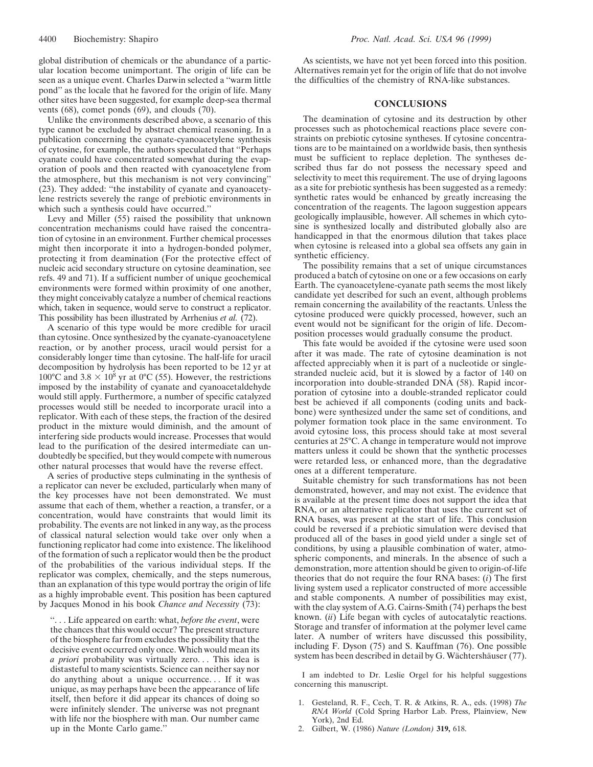global distribution of chemicals or the abundance of a particular location become unimportant. The origin of life can be seen as a unique event. Charles Darwin selected a ''warm little pond'' as the locale that he favored for the origin of life. Many other sites have been suggested, for example deep-sea thermal vents (68), comet ponds (69), and clouds (70).

Unlike the environments described above, a scenario of this type cannot be excluded by abstract chemical reasoning. In a publication concerning the cyanate-cyanoacetylene synthesis of cytosine, for example, the authors speculated that ''Perhaps cyanate could have concentrated somewhat during the evaporation of pools and then reacted with cyanoacetylene from the atmosphere, but this mechanism is not very convincing'' (23). They added: ''the instability of cyanate and cyanoacetylene restricts severely the range of prebiotic environments in which such a synthesis could have occurred.''

Levy and Miller (55) raised the possibility that unknown concentration mechanisms could have raised the concentration of cytosine in an environment. Further chemical processes might then incorporate it into a hydrogen-bonded polymer, protecting it from deamination (For the protective effect of nucleic acid secondary structure on cytosine deamination, see refs. 49 and 71). If a sufficient number of unique geochemical environments were formed within proximity of one another, they might conceivably catalyze a number of chemical reactions which, taken in sequence, would serve to construct a replicator. This possibility has been illustrated by Arrhenius *et al.* (72).

A scenario of this type would be more credible for uracil than cytosine. Once synthesized by the cyanate-cyanoacetylene reaction, or by another process, uracil would persist for a considerably longer time than cytosine. The half-life for uracil decomposition by hydrolysis has been reported to be 12 yr at 100°C and 3.8  $\times$  10<sup>8</sup> yr at 0°C (55). However, the restrictions imposed by the instability of cyanate and cyanoacetaldehyde would still apply. Furthermore, a number of specific catalyzed processes would still be needed to incorporate uracil into a replicator. With each of these steps, the fraction of the desired product in the mixture would diminish, and the amount of interfering side products would increase. Processes that would lead to the purification of the desired intermediate can undoubtedly be specified, but they would compete with numerous other natural processes that would have the reverse effect.

A series of productive steps culminating in the synthesis of a replicator can never be excluded, particularly when many of the key processes have not been demonstrated. We must assume that each of them, whether a reaction, a transfer, or a concentration, would have constraints that would limit its probability. The events are not linked in any way, as the process of classical natural selection would take over only when a functioning replicator had come into existence. The likelihood of the formation of such a replicator would then be the product of the probabilities of the various individual steps. If the replicator was complex, chemically, and the steps numerous, than an explanation of this type would portray the origin of life as a highly improbable event. This position has been captured by Jacques Monod in his book *Chance and Necessity* (73):

''. . . Life appeared on earth: what, *before the event*, were the chances that this would occur? The present structure of the biosphere far from excludes the possibility that the decisive event occurred only once. Which would mean its *a priori* probability was virtually zero. . . This idea is distasteful to many scientists. Science can neither say nor do anything about a unique occurrence. . . If it was unique, as may perhaps have been the appearance of life itself, then before it did appear its chances of doing so were infinitely slender. The universe was not pregnant with life nor the biosphere with man. Our number came up in the Monte Carlo game.''

As scientists, we have not yet been forced into this position. Alternatives remain yet for the origin of life that do not involve the difficulties of the chemistry of RNA-like substances.

## **CONCLUSIONS**

The deamination of cytosine and its destruction by other processes such as photochemical reactions place severe constraints on prebiotic cytosine syntheses. If cytosine concentrations are to be maintained on a worldwide basis, then synthesis must be sufficient to replace depletion. The syntheses described thus far do not possess the necessary speed and selectivity to meet this requirement. The use of drying lagoons as a site for prebiotic synthesis has been suggested as a remedy: synthetic rates would be enhanced by greatly increasing the concentration of the reagents. The lagoon suggestion appears geologically implausible, however. All schemes in which cytosine is synthesized locally and distributed globally also are handicapped in that the enormous dilution that takes place when cytosine is released into a global sea offsets any gain in synthetic efficiency.

The possibility remains that a set of unique circumstances produced a batch of cytosine on one or a few occasions on early Earth. The cyanoacetylene-cyanate path seems the most likely candidate yet described for such an event, although problems remain concerning the availability of the reactants. Unless the cytosine produced were quickly processed, however, such an event would not be significant for the origin of life. Decomposition processes would gradually consume the product.

This fate would be avoided if the cytosine were used soon after it was made. The rate of cytosine deamination is not affected appreciably when it is part of a nucleotide or singlestranded nucleic acid, but it is slowed by a factor of 140 on incorporation into double-stranded DNA (58). Rapid incorporation of cytosine into a double-stranded replicator could best be achieved if all components (coding units and backbone) were synthesized under the same set of conditions, and polymer formation took place in the same environment. To avoid cytosine loss, this process should take at most several centuries at 25°C. A change in temperature would not improve matters unless it could be shown that the synthetic processes were retarded less, or enhanced more, than the degradative ones at a different temperature.

Suitable chemistry for such transformations has not been demonstrated, however, and may not exist. The evidence that is available at the present time does not support the idea that RNA, or an alternative replicator that uses the current set of RNA bases, was present at the start of life. This conclusion could be reversed if a prebiotic simulation were devised that produced all of the bases in good yield under a single set of conditions, by using a plausible combination of water, atmospheric components, and minerals. In the absence of such a demonstration, more attention should be given to origin-of-life theories that do not require the four RNA bases: (*i*) The first living system used a replicator constructed of more accessible and stable components. A number of possibilities may exist, with the clay system of A.G. Cairns-Smith (74) perhaps the best known. (*ii*) Life began with cycles of autocatalytic reactions. Storage and transfer of information at the polymer level came later. A number of writers have discussed this possibility, including F. Dyson (75) and S. Kauffman (76). One possible system has been described in detail by G. Wächtershäuser (77).

I am indebted to Dr. Leslie Orgel for his helpful suggestions concerning this manuscript.

- 1. Gesteland, R. F., Cech, T. R. & Atkins, R. A., eds. (1998) *The RNA World* (Cold Spring Harbor Lab. Press, Plainview, New York), 2nd Ed.
- 2. Gilbert, W. (1986) *Nature (London)* **319,** 618.